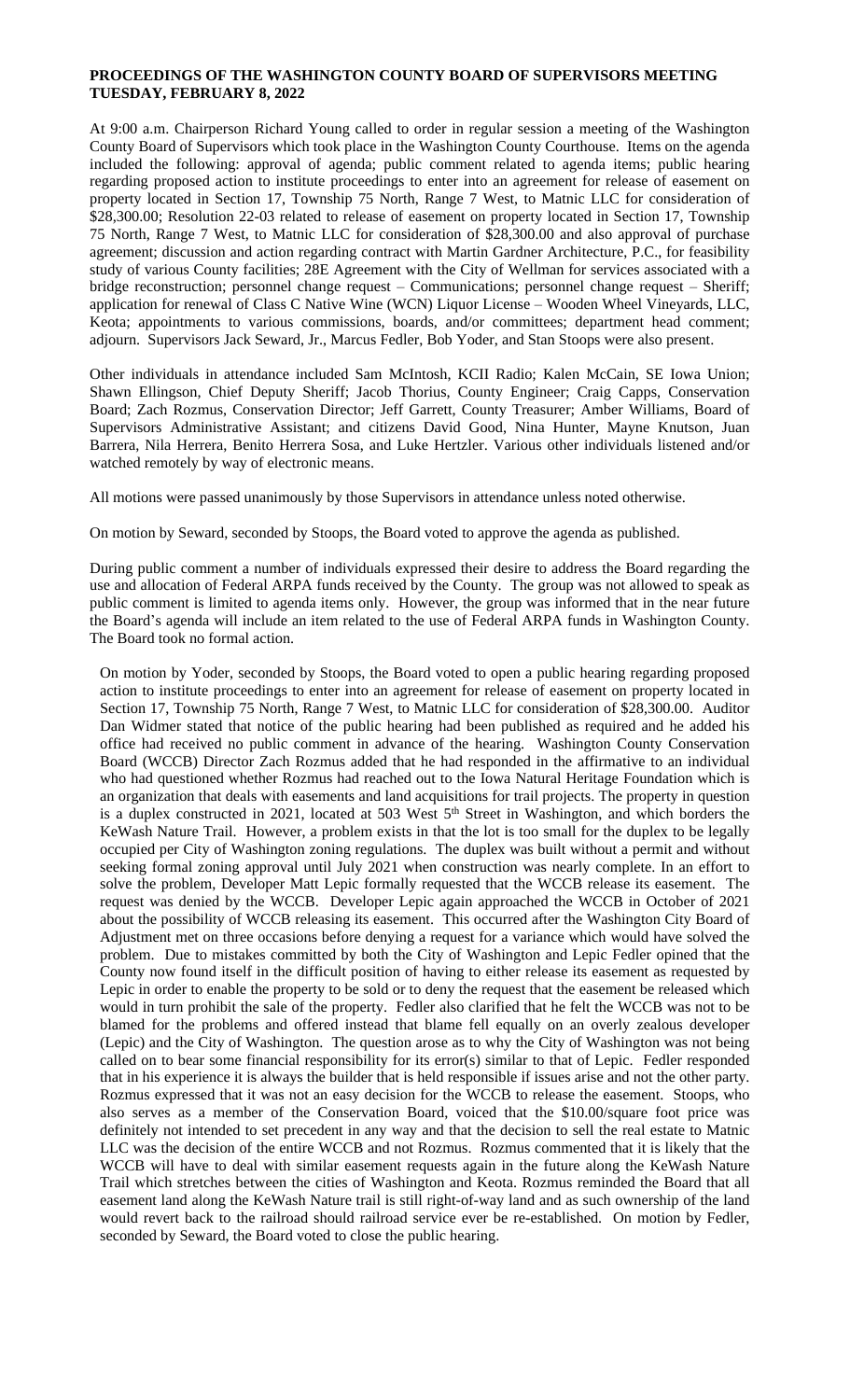## **PROCEEDINGS OF THE WASHINGTON COUNTY BOARD OF SUPERVISORS MEETING TUESDAY, FEBRUARY 8, 2022**

At 9:00 a.m. Chairperson Richard Young called to order in regular session a meeting of the Washington County Board of Supervisors which took place in the Washington County Courthouse. Items on the agenda included the following: approval of agenda; public comment related to agenda items; public hearing regarding proposed action to institute proceedings to enter into an agreement for release of easement on property located in Section 17, Township 75 North, Range 7 West, to Matnic LLC for consideration of \$28,300.00; Resolution 22-03 related to release of easement on property located in Section 17, Township 75 North, Range 7 West, to Matnic LLC for consideration of \$28,300.00 and also approval of purchase agreement; discussion and action regarding contract with Martin Gardner Architecture, P.C., for feasibility study of various County facilities; 28E Agreement with the City of Wellman for services associated with a bridge reconstruction; personnel change request – Communications; personnel change request – Sheriff; application for renewal of Class C Native Wine (WCN) Liquor License – Wooden Wheel Vineyards, LLC, Keota; appointments to various commissions, boards, and/or committees; department head comment; adjourn. Supervisors Jack Seward, Jr., Marcus Fedler, Bob Yoder, and Stan Stoops were also present.

Other individuals in attendance included Sam McIntosh, KCII Radio; Kalen McCain, SE Iowa Union; Shawn Ellingson, Chief Deputy Sheriff; Jacob Thorius, County Engineer; Craig Capps, Conservation Board; Zach Rozmus, Conservation Director; Jeff Garrett, County Treasurer; Amber Williams, Board of Supervisors Administrative Assistant; and citizens David Good, Nina Hunter, Mayne Knutson, Juan Barrera, Nila Herrera, Benito Herrera Sosa, and Luke Hertzler. Various other individuals listened and/or watched remotely by way of electronic means.

All motions were passed unanimously by those Supervisors in attendance unless noted otherwise.

On motion by Seward, seconded by Stoops, the Board voted to approve the agenda as published.

During public comment a number of individuals expressed their desire to address the Board regarding the use and allocation of Federal ARPA funds received by the County. The group was not allowed to speak as public comment is limited to agenda items only. However, the group was informed that in the near future the Board's agenda will include an item related to the use of Federal ARPA funds in Washington County. The Board took no formal action.

On motion by Yoder, seconded by Stoops, the Board voted to open a public hearing regarding proposed action to institute proceedings to enter into an agreement for release of easement on property located in Section 17, Township 75 North, Range 7 West, to Matnic LLC for consideration of \$28,300.00. Auditor Dan Widmer stated that notice of the public hearing had been published as required and he added his office had received no public comment in advance of the hearing. Washington County Conservation Board (WCCB) Director Zach Rozmus added that he had responded in the affirmative to an individual who had questioned whether Rozmus had reached out to the Iowa Natural Heritage Foundation which is an organization that deals with easements and land acquisitions for trail projects. The property in question is a duplex constructed in 2021, located at 503 West 5<sup>th</sup> Street in Washington, and which borders the KeWash Nature Trail. However, a problem exists in that the lot is too small for the duplex to be legally occupied per City of Washington zoning regulations. The duplex was built without a permit and without seeking formal zoning approval until July 2021 when construction was nearly complete. In an effort to solve the problem, Developer Matt Lepic formally requested that the WCCB release its easement. The request was denied by the WCCB. Developer Lepic again approached the WCCB in October of 2021 about the possibility of WCCB releasing its easement. This occurred after the Washington City Board of Adjustment met on three occasions before denying a request for a variance which would have solved the problem. Due to mistakes committed by both the City of Washington and Lepic Fedler opined that the County now found itself in the difficult position of having to either release its easement as requested by Lepic in order to enable the property to be sold or to deny the request that the easement be released which would in turn prohibit the sale of the property. Fedler also clarified that he felt the WCCB was not to be blamed for the problems and offered instead that blame fell equally on an overly zealous developer (Lepic) and the City of Washington. The question arose as to why the City of Washington was not being called on to bear some financial responsibility for its error(s) similar to that of Lepic. Fedler responded that in his experience it is always the builder that is held responsible if issues arise and not the other party. Rozmus expressed that it was not an easy decision for the WCCB to release the easement. Stoops, who also serves as a member of the Conservation Board, voiced that the \$10.00/square foot price was definitely not intended to set precedent in any way and that the decision to sell the real estate to Matnic LLC was the decision of the entire WCCB and not Rozmus. Rozmus commented that it is likely that the WCCB will have to deal with similar easement requests again in the future along the KeWash Nature Trail which stretches between the cities of Washington and Keota. Rozmus reminded the Board that all easement land along the KeWash Nature trail is still right-of-way land and as such ownership of the land would revert back to the railroad should railroad service ever be re-established. On motion by Fedler, seconded by Seward, the Board voted to close the public hearing.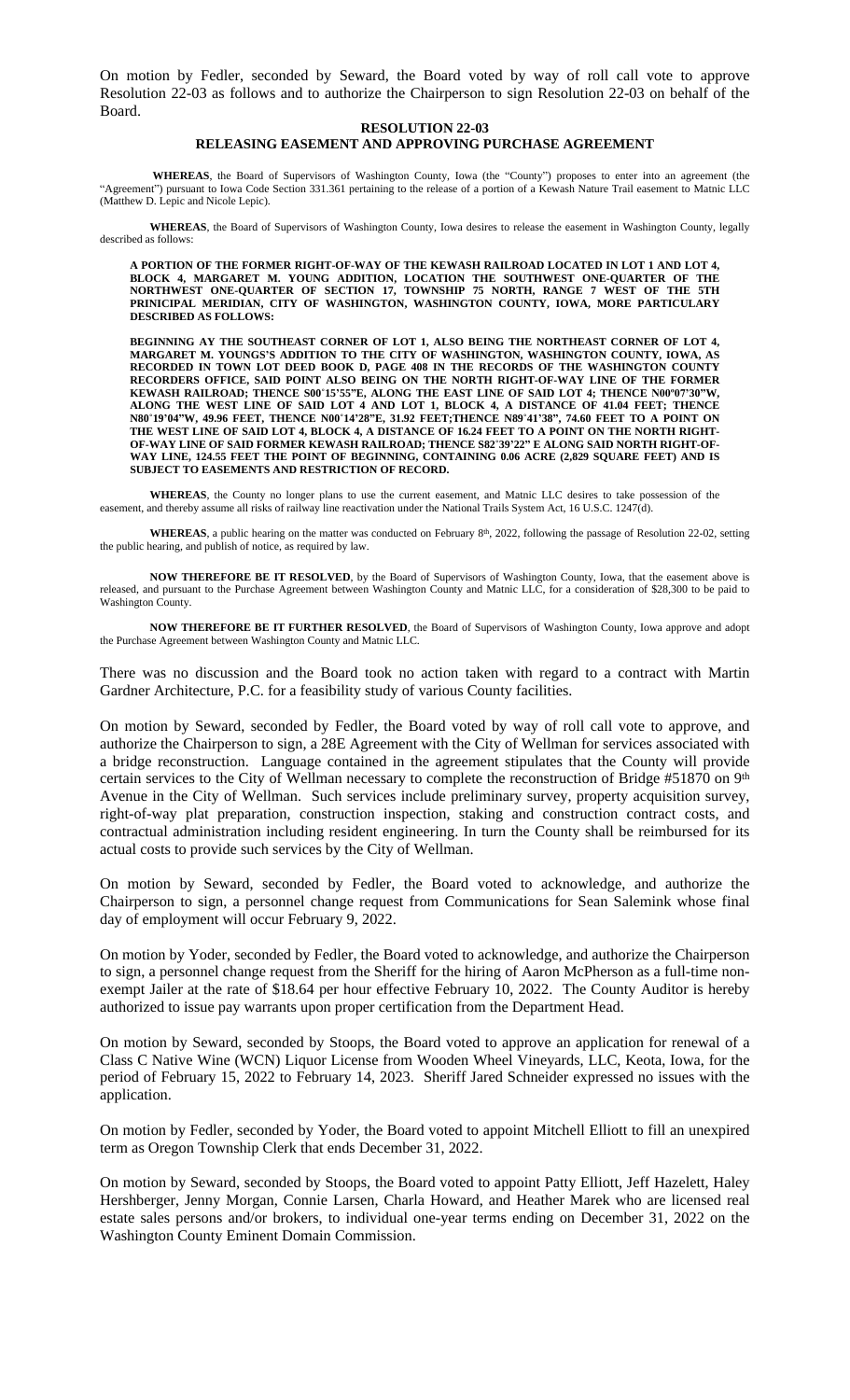On motion by Fedler, seconded by Seward, the Board voted by way of roll call vote to approve Resolution 22-03 as follows and to authorize the Chairperson to sign Resolution 22-03 on behalf of the Board.

## **RESOLUTION 22-03 RELEASING EASEMENT AND APPROVING PURCHASE AGREEMENT**

**WHEREAS**, the Board of Supervisors of Washington County, Iowa (the "County") proposes to enter into an agreement (the "Agreement") pursuant to Iowa Code Section 331.361 pertaining to the release of a portion of a Kewash Nature Trail easement to Matnic LLC (Matthew D. Lepic and Nicole Lepic).

**WHEREAS**, the Board of Supervisors of Washington County, Iowa desires to release the easement in Washington County, legally described as follows:

**A PORTION OF THE FORMER RIGHT-OF-WAY OF THE KEWASH RAILROAD LOCATED IN LOT 1 AND LOT 4, BLOCK 4, MARGARET M. YOUNG ADDITION, LOCATION THE SOUTHWEST ONE-QUARTER OF THE NORTHWEST ONE-QUARTER OF SECTION 17, TOWNSHIP 75 NORTH, RANGE 7 WEST OF THE 5TH PRINICIPAL MERIDIAN, CITY OF WASHINGTON, WASHINGTON COUNTY, IOWA, MORE PARTICULARY DESCRIBED AS FOLLOWS:** 

**BEGINNING AY THE SOUTHEAST CORNER OF LOT 1, ALSO BEING THE NORTHEAST CORNER OF LOT 4, MARGARET M. YOUNGS'S ADDITION TO THE CITY OF WASHINGTON, WASHINGTON COUNTY, IOWA, AS RECORDED IN TOWN LOT DEED BOOK D, PAGE 408 IN THE RECORDS OF THE WASHINGTON COUNTY RECORDERS OFFICE, SAID POINT ALSO BEING ON THE NORTH RIGHT-OF-WAY LINE OF THE FORMER** KEWASH RAILROAD; THENCE S00°15'55"E, ALONG THE EAST LINE OF SAID LOT 4; THENCE N00°07'30"W, **ALONG THE WEST LINE OF SAID LOT 4 AND LOT 1, BLOCK 4, A DISTANCE OF 41.04 FEET; THENCE** N80°19'04''W, 49.96 FEET, THENCE N00°14'28''E, 31.92 FEET;THENCE N89°41'38'', 74.60 FEET TO A POINT ON THE WEST LINE OF SAID LOT 4, BLOCK 4, A DISTANCE OF 16.24 FEET TO A POINT ON THE NORTH RIGHT-**OF-WAY LINE OF SAID FORMER KEWASH RAILROAD; THENCE S82˚39'22" E ALONG SAID NORTH RIGHT-OF-WAY LINE, 124.55 FEET THE POINT OF BEGINNING, CONTAINING 0.06 ACRE (2,829 SQUARE FEET) AND IS SUBJECT TO EASEMENTS AND RESTRICTION OF RECORD.**

**WHEREAS**, the County no longer plans to use the current easement, and Matnic LLC desires to take possession of the easement, and thereby assume all risks of railway line reactivation under the National Trails System Act, 16 U.S.C. 1247(d).

WHEREAS, a public hearing on the matter was conducted on February 8<sup>th</sup>, 2022, following the passage of Resolution 22-02, setting the public hearing, and publish of notice, as required by law.

**NOW THEREFORE BE IT RESOLVED**, by the Board of Supervisors of Washington County, Iowa, that the easement above is released, and pursuant to the Purchase Agreement between Washington County and Matnic LLC, for a consideration of \$28,300 to be paid to Washington County.

**NOW THEREFORE BE IT FURTHER RESOLVED**, the Board of Supervisors of Washington County, Iowa approve and adopt the Purchase Agreement between Washington County and Matnic LLC.

There was no discussion and the Board took no action taken with regard to a contract with Martin Gardner Architecture, P.C. for a feasibility study of various County facilities.

On motion by Seward, seconded by Fedler, the Board voted by way of roll call vote to approve, and authorize the Chairperson to sign, a 28E Agreement with the City of Wellman for services associated with a bridge reconstruction. Language contained in the agreement stipulates that the County will provide certain services to the City of Wellman necessary to complete the reconstruction of Bridge #51870 on 9<sup>th</sup> Avenue in the City of Wellman. Such services include preliminary survey, property acquisition survey, right-of-way plat preparation, construction inspection, staking and construction contract costs, and contractual administration including resident engineering. In turn the County shall be reimbursed for its actual costs to provide such services by the City of Wellman.

On motion by Seward, seconded by Fedler, the Board voted to acknowledge, and authorize the Chairperson to sign, a personnel change request from Communications for Sean Salemink whose final day of employment will occur February 9, 2022.

On motion by Yoder, seconded by Fedler, the Board voted to acknowledge, and authorize the Chairperson to sign, a personnel change request from the Sheriff for the hiring of Aaron McPherson as a full-time nonexempt Jailer at the rate of \$18.64 per hour effective February 10, 2022. The County Auditor is hereby authorized to issue pay warrants upon proper certification from the Department Head.

On motion by Seward, seconded by Stoops, the Board voted to approve an application for renewal of a Class C Native Wine (WCN) Liquor License from Wooden Wheel Vineyards, LLC, Keota, Iowa, for the period of February 15, 2022 to February 14, 2023. Sheriff Jared Schneider expressed no issues with the application.

On motion by Fedler, seconded by Yoder, the Board voted to appoint Mitchell Elliott to fill an unexpired term as Oregon Township Clerk that ends December 31, 2022.

On motion by Seward, seconded by Stoops, the Board voted to appoint Patty Elliott, Jeff Hazelett, Haley Hershberger, Jenny Morgan, Connie Larsen, Charla Howard, and Heather Marek who are licensed real estate sales persons and/or brokers, to individual one-year terms ending on December 31, 2022 on the Washington County Eminent Domain Commission.